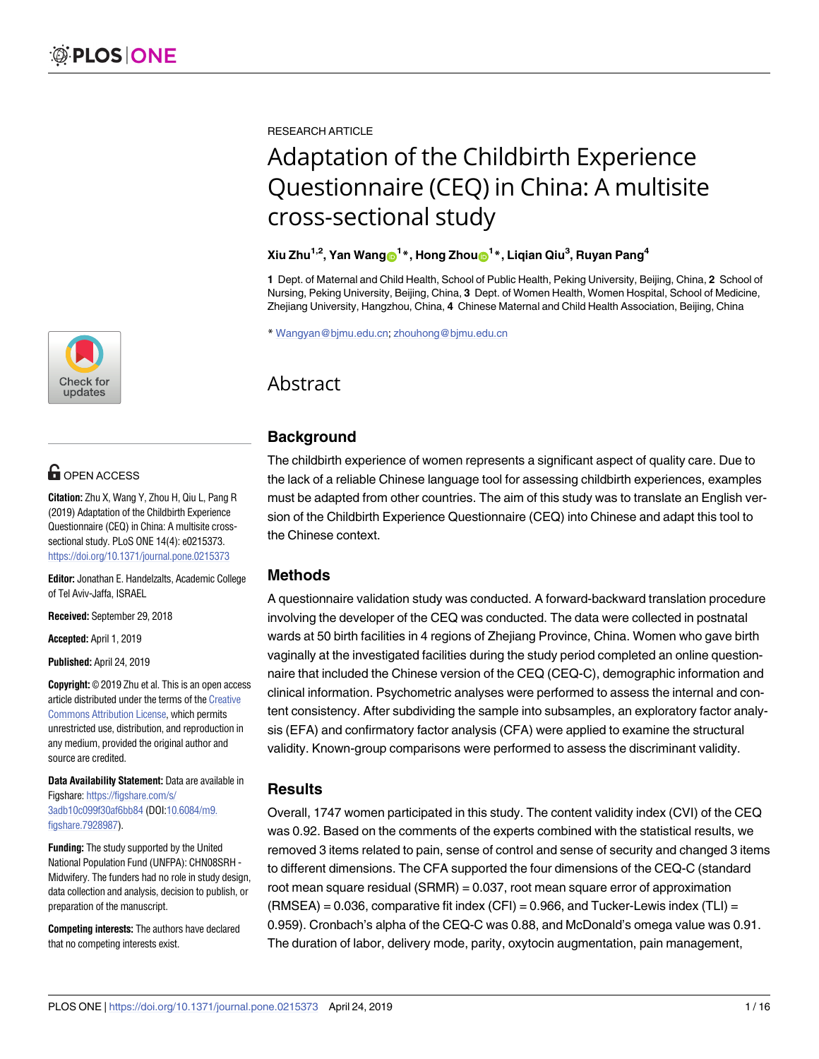

# **OPEN ACCESS**

**Citation:** Zhu X, Wang Y, Zhou H, Qiu L, Pang R (2019) Adaptation of the Childbirth Experience Questionnaire (CEQ) in China: A multisite crosssectional study. PLoS ONE 14(4): e0215373. <https://doi.org/10.1371/journal.pone.0215373>

**Editor:** Jonathan E. Handelzalts, Academic College of Tel Aviv-Jaffa, ISRAEL

**Received:** September 29, 2018

**Accepted:** April 1, 2019

**Published:** April 24, 2019

**Copyright:** © 2019 Zhu et al. This is an open access article distributed under the terms of the [Creative](http://creativecommons.org/licenses/by/4.0/) [Commons](http://creativecommons.org/licenses/by/4.0/) Attribution License, which permits unrestricted use, distribution, and reproduction in any medium, provided the original author and source are credited.

**Data Availability Statement:** Data are available in Figshare: [https://figshare.com/s/](https://figshare.com/s/3adb10c099f30af6bb84) [3adb10c099f30af6bb84](https://figshare.com/s/3adb10c099f30af6bb84) (DOI[:10.6084/m9.](https://doi.org/10.6084/m9.figshare.7928987) [figshare.7928987](https://doi.org/10.6084/m9.figshare.7928987)).

**Funding:** The study supported by the United National Population Fund (UNFPA): CHN08SRH - Midwifery. The funders had no role in study design, data collection and analysis, decision to publish, or preparation of the manuscript.

**Competing interests:** The authors have declared that no competing interests exist.

RESEARCH ARTICLE

# Adaptation of the Childbirth Experience Questionnaire (CEQ) in China: A multisite cross-sectional study

# $\boldsymbol{\mathrm{X}}$ iu Zhu $^{1,2}$ , Yan Wang $\boldsymbol{\mathrm{\Theta}}^{1\,*}$ , Hong Zhou $\boldsymbol{\mathrm{\Theta}}^{1\,*}$ , Liqian Qiu $^3$ , Ruyan Pang $^4$

**1** Dept. of Maternal and Child Health, School of Public Health, Peking University, Beijing, China, **2** School of Nursing, Peking University, Beijing, China, **3** Dept. of Women Health, Women Hospital, School of Medicine, Zhejiang University, Hangzhou, China, **4** Chinese Maternal and Child Health Association, Beijing, China

\* Wangyan@bjmu.edu.cn; zhouhong@bjmu.edu.cn

# Abstract

# **Background**

The childbirth experience of women represents a significant aspect of quality care. Due to the lack of a reliable Chinese language tool for assessing childbirth experiences, examples must be adapted from other countries. The aim of this study was to translate an English version of the Childbirth Experience Questionnaire (CEQ) into Chinese and adapt this tool to the Chinese context.

# **Methods**

A questionnaire validation study was conducted. A forward-backward translation procedure involving the developer of the CEQ was conducted. The data were collected in postnatal wards at 50 birth facilities in 4 regions of Zhejiang Province, China. Women who gave birth vaginally at the investigated facilities during the study period completed an online questionnaire that included the Chinese version of the CEQ (CEQ-C), demographic information and clinical information. Psychometric analyses were performed to assess the internal and content consistency. After subdividing the sample into subsamples, an exploratory factor analysis (EFA) and confirmatory factor analysis (CFA) were applied to examine the structural validity. Known-group comparisons were performed to assess the discriminant validity.

# **Results**

Overall, 1747 women participated in this study. The content validity index (CVI) of the CEQ was 0.92. Based on the comments of the experts combined with the statistical results, we removed 3 items related to pain, sense of control and sense of security and changed 3 items to different dimensions. The CFA supported the four dimensions of the CEQ-C (standard root mean square residual (SRMR) = 0.037, root mean square error of approximation  $(RMSEA) = 0.036$ , comparative fit index  $(CFI) = 0.966$ , and Tucker-Lewis index  $(TLI) =$ 0.959). Cronbach's alpha of the CEQ-C was 0.88, and McDonald's omega value was 0.91. The duration of labor, delivery mode, parity, oxytocin augmentation, pain management,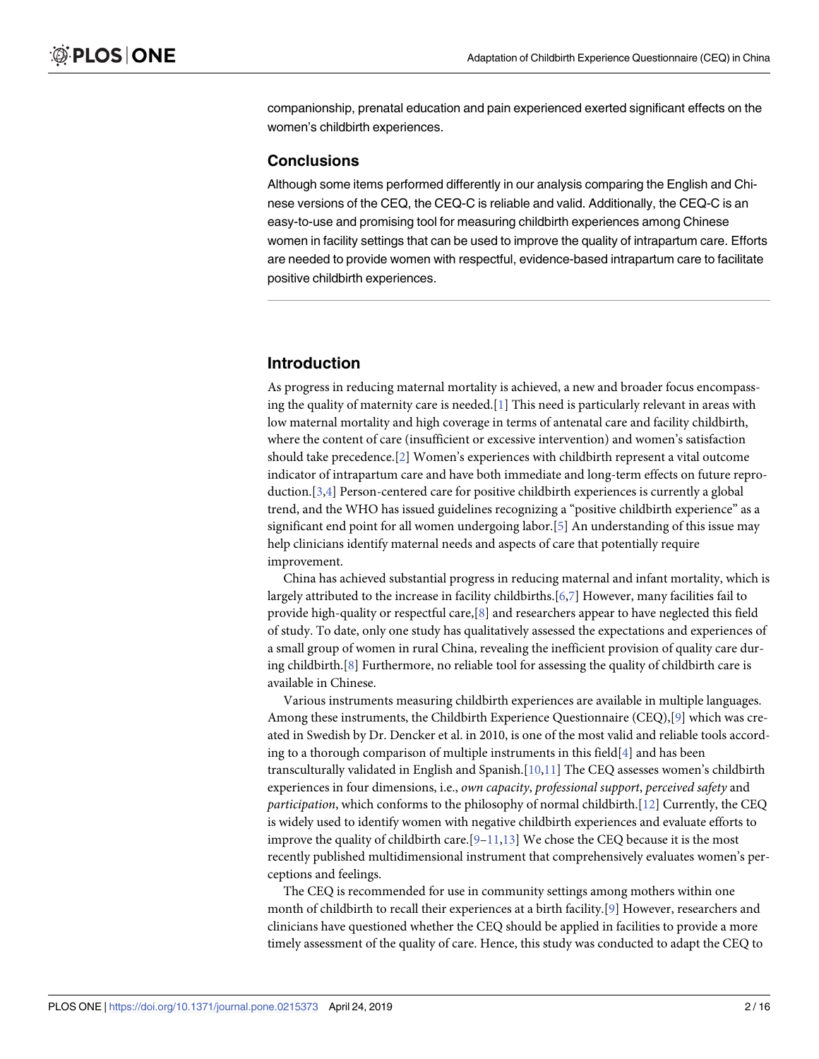<span id="page-1-0"></span>companionship, prenatal education and pain experienced exerted significant effects on the women's childbirth experiences.

#### **Conclusions**

Although some items performed differently in our analysis comparing the English and Chinese versions of the CEQ, the CEQ-C is reliable and valid. Additionally, the CEQ-C is an easy-to-use and promising tool for measuring childbirth experiences among Chinese women in facility settings that can be used to improve the quality of intrapartum care. Efforts are needed to provide women with respectful, evidence-based intrapartum care to facilitate positive childbirth experiences.

# **Introduction**

As progress in reducing maternal mortality is achieved, a new and broader focus encompassing the quality of maternity care is needed.[\[1](#page-13-0)] This need is particularly relevant in areas with low maternal mortality and high coverage in terms of antenatal care and facility childbirth, where the content of care (insufficient or excessive intervention) and women's satisfaction should take precedence.[[2](#page-13-0)] Women's experiences with childbirth represent a vital outcome indicator of intrapartum care and have both immediate and long-term effects on future reproduction.[[3](#page-13-0),[4](#page-13-0)] Person-centered care for positive childbirth experiences is currently a global trend, and the WHO has issued guidelines recognizing a "positive childbirth experience" as a significant end point for all women undergoing labor.[\[5\]](#page-13-0) An understanding of this issue may help clinicians identify maternal needs and aspects of care that potentially require improvement.

China has achieved substantial progress in reducing maternal and infant mortality, which is largely attributed to the increase in facility childbirths.[\[6,7\]](#page-13-0) However, many facilities fail to provide high-quality or respectful care,[[8\]](#page-13-0) and researchers appear to have neglected this field of study. To date, only one study has qualitatively assessed the expectations and experiences of a small group of women in rural China, revealing the inefficient provision of quality care during childbirth.[\[8\]](#page-13-0) Furthermore, no reliable tool for assessing the quality of childbirth care is available in Chinese.

Various instruments measuring childbirth experiences are available in multiple languages. Among these instruments, the Childbirth Experience Questionnaire (CEQ),[[9\]](#page-13-0) which was created in Swedish by Dr. Dencker et al. in 2010, is one of the most valid and reliable tools accord-ing to a thorough comparison of multiple instruments in this field [\[4](#page-13-0)] and has been transculturally validated in English and Spanish.[\[10,11](#page-13-0)] The CEQ assesses women's childbirth experiences in four dimensions, i.e., *own capacity*, *professional support*, *perceived safety* and *participation*, which conforms to the philosophy of normal childbirth.[[12](#page-13-0)] Currently, the CEQ is widely used to identify women with negative childbirth experiences and evaluate efforts to improve the quality of childbirth care.  $[9-11,13]$  $[9-11,13]$  $[9-11,13]$  We chose the CEQ because it is the most recently published multidimensional instrument that comprehensively evaluates women's perceptions and feelings.

The CEQ is recommended for use in community settings among mothers within one month of childbirth to recall their experiences at a birth facility.[\[9\]](#page-13-0) However, researchers and clinicians have questioned whether the CEQ should be applied in facilities to provide a more timely assessment of the quality of care. Hence, this study was conducted to adapt the CEQ to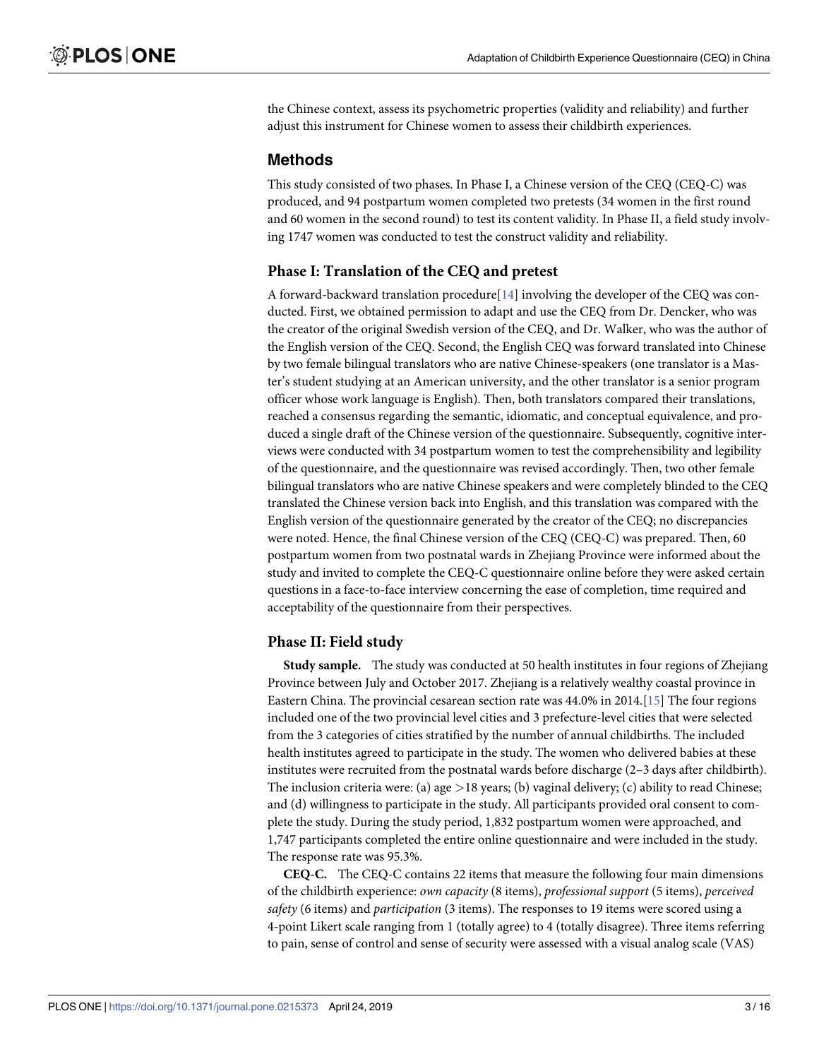<span id="page-2-0"></span>the Chinese context, assess its psychometric properties (validity and reliability) and further adjust this instrument for Chinese women to assess their childbirth experiences.

# **Methods**

This study consisted of two phases. In Phase I, a Chinese version of the CEQ (CEQ-C) was produced, and 94 postpartum women completed two pretests (34 women in the first round and 60 women in the second round) to test its content validity. In Phase II, a field study involving 1747 women was conducted to test the construct validity and reliability.

#### **Phase I: Translation of the CEQ and pretest**

A forward-backward translation procedure $[14]$  $[14]$  involving the developer of the CEQ was conducted. First, we obtained permission to adapt and use the CEQ from Dr. Dencker, who was the creator of the original Swedish version of the CEQ, and Dr. Walker, who was the author of the English version of the CEQ. Second, the English CEQ was forward translated into Chinese by two female bilingual translators who are native Chinese-speakers (one translator is a Master's student studying at an American university, and the other translator is a senior program officer whose work language is English). Then, both translators compared their translations, reached a consensus regarding the semantic, idiomatic, and conceptual equivalence, and produced a single draft of the Chinese version of the questionnaire. Subsequently, cognitive interviews were conducted with 34 postpartum women to test the comprehensibility and legibility of the questionnaire, and the questionnaire was revised accordingly. Then, two other female bilingual translators who are native Chinese speakers and were completely blinded to the CEQ translated the Chinese version back into English, and this translation was compared with the English version of the questionnaire generated by the creator of the CEQ; no discrepancies were noted. Hence, the final Chinese version of the CEQ (CEQ-C) was prepared. Then, 60 postpartum women from two postnatal wards in Zhejiang Province were informed about the study and invited to complete the CEQ-C questionnaire online before they were asked certain questions in a face-to-face interview concerning the ease of completion, time required and acceptability of the questionnaire from their perspectives.

#### **Phase II: Field study**

**Study sample.** The study was conducted at 50 health institutes in four regions of Zhejiang Province between July and October 2017. Zhejiang is a relatively wealthy coastal province in Eastern China. The provincial cesarean section rate was 44.0% in 2014.[\[15\]](#page-14-0) The four regions included one of the two provincial level cities and 3 prefecture-level cities that were selected from the 3 categories of cities stratified by the number of annual childbirths. The included health institutes agreed to participate in the study. The women who delivered babies at these institutes were recruited from the postnatal wards before discharge (2–3 days after childbirth). The inclusion criteria were: (a) age *>*18 years; (b) vaginal delivery; (c) ability to read Chinese; and (d) willingness to participate in the study. All participants provided oral consent to complete the study. During the study period, 1,832 postpartum women were approached, and 1,747 participants completed the entire online questionnaire and were included in the study. The response rate was 95.3%.

**CEQ-C.** The CEQ-C contains 22 items that measure the following four main dimensions of the childbirth experience: *own capacity* (8 items), *professional support* (5 items), *perceived safety* (6 items) and *participation* (3 items). The responses to 19 items were scored using a 4-point Likert scale ranging from 1 (totally agree) to 4 (totally disagree). Three items referring to pain, sense of control and sense of security were assessed with a visual analog scale (VAS)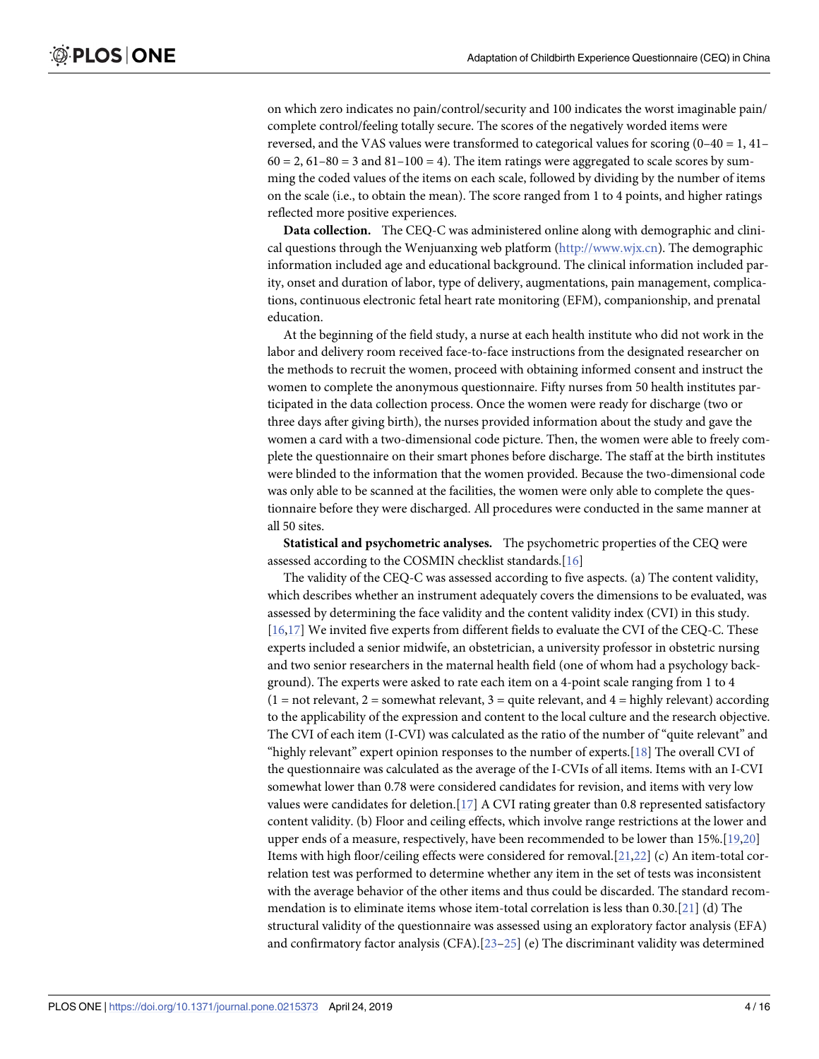<span id="page-3-0"></span>on which zero indicates no pain/control/security and 100 indicates the worst imaginable pain/ complete control/feeling totally secure. The scores of the negatively worded items were reversed, and the VAS values were transformed to categorical values for scoring  $(0-40 = 1, 41 60 = 2$ ,  $61-80 = 3$  and  $81-100 = 4$ ). The item ratings were aggregated to scale scores by summing the coded values of the items on each scale, followed by dividing by the number of items on the scale (i.e., to obtain the mean). The score ranged from 1 to 4 points, and higher ratings reflected more positive experiences.

**Data collection.** The CEQ-C was administered online along with demographic and clinical questions through the Wenjuanxing web platform [\(http://www.wjx.cn\)](http://www.wjx.cn/). The demographic information included age and educational background. The clinical information included parity, onset and duration of labor, type of delivery, augmentations, pain management, complications, continuous electronic fetal heart rate monitoring (EFM), companionship, and prenatal education.

At the beginning of the field study, a nurse at each health institute who did not work in the labor and delivery room received face-to-face instructions from the designated researcher on the methods to recruit the women, proceed with obtaining informed consent and instruct the women to complete the anonymous questionnaire. Fifty nurses from 50 health institutes participated in the data collection process. Once the women were ready for discharge (two or three days after giving birth), the nurses provided information about the study and gave the women a card with a two-dimensional code picture. Then, the women were able to freely complete the questionnaire on their smart phones before discharge. The staff at the birth institutes were blinded to the information that the women provided. Because the two-dimensional code was only able to be scanned at the facilities, the women were only able to complete the questionnaire before they were discharged. All procedures were conducted in the same manner at all 50 sites.

**Statistical and psychometric analyses.** The psychometric properties of the CEQ were assessed according to the COSMIN checklist standards.[\[16\]](#page-14-0)

The validity of the CEQ-C was assessed according to five aspects. (a) The content validity, which describes whether an instrument adequately covers the dimensions to be evaluated, was assessed by determining the face validity and the content validity index (CVI) in this study. [\[16,17\]](#page-14-0) We invited five experts from different fields to evaluate the CVI of the CEQ-C. These experts included a senior midwife, an obstetrician, a university professor in obstetric nursing and two senior researchers in the maternal health field (one of whom had a psychology background). The experts were asked to rate each item on a 4-point scale ranging from 1 to 4  $(1 = not relevant, 2 = somewhat relevant, 3 = quite relevant, and 4 = highly relevant) according to the following equation:\n $\frac{1}{2} \times \frac{1}{2} = \frac{1}{2} \times \frac{1}{2} = \frac{1}{2} \times \frac{1}{2} = \frac{1}{2} \times \frac{1}{2} = \frac{1}{2} \times \frac{1}{2} = \frac{1}{2} \times \frac{1}{2} = \frac{1}{2} \times \frac{1}{2} = \frac{1}{2} \times \frac{1}{2} = \frac{1}{2} \times \frac{1}{2} = \frac{1}{2} \times \frac{1}{2} = \frac{1}{2} \times \frac{1}{2}$$ to the applicability of the expression and content to the local culture and the research objective. The CVI of each item (I-CVI) was calculated as the ratio of the number of "quite relevant" and "highly relevant" expert opinion responses to the number of experts.[[18](#page-14-0)] The overall CVI of the questionnaire was calculated as the average of the I-CVIs of all items. Items with an I-CVI somewhat lower than 0.78 were considered candidates for revision, and items with very low values were candidates for deletion.[\[17\]](#page-14-0) A CVI rating greater than 0.8 represented satisfactory content validity. (b) Floor and ceiling effects, which involve range restrictions at the lower and upper ends of a measure, respectively, have been recommended to be lower than 15%.[[19](#page-14-0),[20](#page-14-0)] Items with high floor/ceiling effects were considered for removal.[\[21,22\]](#page-14-0) (c) An item-total correlation test was performed to determine whether any item in the set of tests was inconsistent with the average behavior of the other items and thus could be discarded. The standard recommendation is to eliminate items whose item-total correlation is less than 0.30.[\[21\]](#page-14-0) (d) The structural validity of the questionnaire was assessed using an exploratory factor analysis (EFA) and confirmatory factor analysis (CFA).[\[23–25](#page-14-0)] (e) The discriminant validity was determined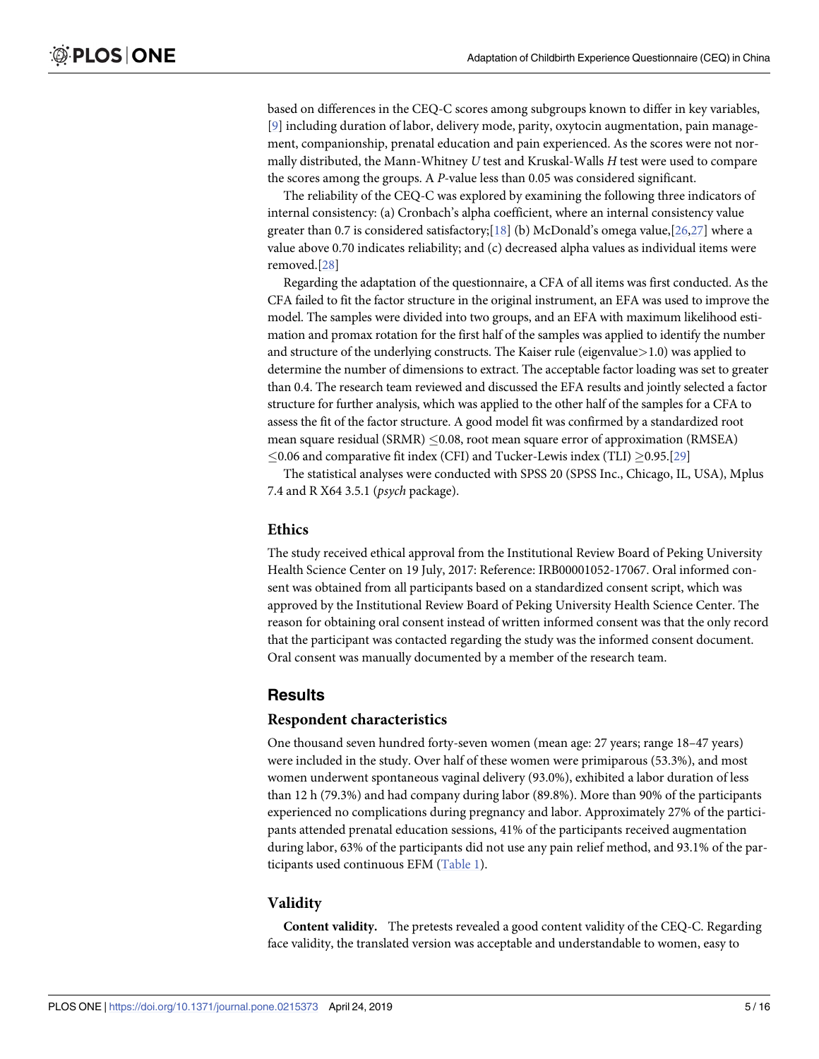<span id="page-4-0"></span>based on differences in the CEQ-C scores among subgroups known to differ in key variables, [\[9](#page-13-0)] including duration of labor, delivery mode, parity, oxytocin augmentation, pain management, companionship, prenatal education and pain experienced. As the scores were not normally distributed, the Mann-Whitney *U* test and Kruskal-Walls *H* test were used to compare the scores among the groups. A *P-*value less than 0.05 was considered significant.

The reliability of the CEQ-C was explored by examining the following three indicators of internal consistency: (a) Cronbach's alpha coefficient, where an internal consistency value greater than 0.7 is considered satisfactory;[\[18\]](#page-14-0) (b) McDonald's omega value,[[26](#page-14-0),[27](#page-14-0)] where a value above 0.70 indicates reliability; and (c) decreased alpha values as individual items were removed.[[28](#page-14-0)]

Regarding the adaptation of the questionnaire, a CFA of all items was first conducted. As the CFA failed to fit the factor structure in the original instrument, an EFA was used to improve the model. The samples were divided into two groups, and an EFA with maximum likelihood estimation and promax rotation for the first half of the samples was applied to identify the number and structure of the underlying constructs. The Kaiser rule (eigenvalue*>*1.0) was applied to determine the number of dimensions to extract. The acceptable factor loading was set to greater than 0.4. The research team reviewed and discussed the EFA results and jointly selected a factor structure for further analysis, which was applied to the other half of the samples for a CFA to assess the fit of the factor structure. A good model fit was confirmed by a standardized root mean square residual (SRMR)  $\leq$  0.08, root mean square error of approximation (RMSEA)  $\leq$ 0.06 and comparative fit index (CFI) and Tucker-Lewis index (TLI)  $\geq$ 0.95.[[29](#page-14-0)]

The statistical analyses were conducted with SPSS 20 (SPSS Inc., Chicago, IL, USA), Mplus 7.4 and R X64 3.5.1 (*psych* package).

#### **Ethics**

The study received ethical approval from the Institutional Review Board of Peking University Health Science Center on 19 July, 2017: Reference: IRB00001052-17067. Oral informed consent was obtained from all participants based on a standardized consent script, which was approved by the Institutional Review Board of Peking University Health Science Center. The reason for obtaining oral consent instead of written informed consent was that the only record that the participant was contacted regarding the study was the informed consent document. Oral consent was manually documented by a member of the research team.

# **Results**

#### **Respondent characteristics**

One thousand seven hundred forty-seven women (mean age: 27 years; range 18–47 years) were included in the study. Over half of these women were primiparous (53.3%), and most women underwent spontaneous vaginal delivery (93.0%), exhibited a labor duration of less than 12 h (79.3%) and had company during labor (89.8%). More than 90% of the participants experienced no complications during pregnancy and labor. Approximately 27% of the participants attended prenatal education sessions, 41% of the participants received augmentation during labor, 63% of the participants did not use any pain relief method, and 93.1% of the participants used continuous EFM ([Table](#page-5-0) 1).

#### **Validity**

**Content validity.** The pretests revealed a good content validity of the CEQ-C. Regarding face validity, the translated version was acceptable and understandable to women, easy to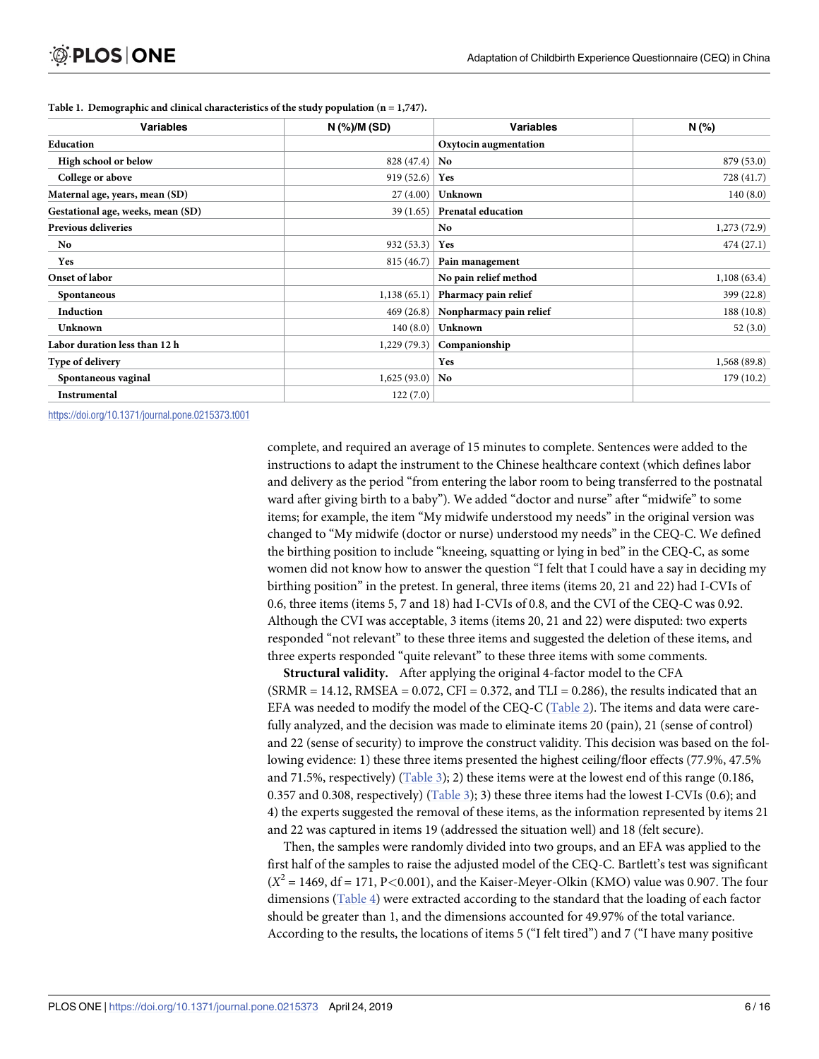| <b>Variables</b>                  | N (%)/M (SD)     | <b>Variables</b>          | N(%)         |
|-----------------------------------|------------------|---------------------------|--------------|
| Education                         |                  | Oxytocin augmentation     |              |
| High school or below              | 828 (47.4)   No  |                           | 879 (53.0)   |
| College or above                  | 919(52.6)        | Yes                       | 728 (41.7)   |
| Maternal age, years, mean (SD)    | 27(4.00)         | <b>Unknown</b>            | 140(8.0)     |
| Gestational age, weeks, mean (SD) | 39(1.65)         | <b>Prenatal education</b> |              |
| Previous deliveries               |                  | No                        | 1,273(72.9)  |
| No                                | 932(53.3)        | Yes                       | 474(27.1)    |
| <b>Yes</b>                        | 815 (46.7)       | Pain management           |              |
| <b>Onset of labor</b>             |                  | No pain relief method     | 1,108(63.4)  |
| Spontaneous                       | 1,138(65.1)      | Pharmacy pain relief      | 399 (22.8)   |
| Induction                         | 469(26.8)        | Nonpharmacy pain relief   | 188(10.8)    |
| <b>Unknown</b>                    | 140(8.0)         | Unknown                   | 52(3.0)      |
| Labor duration less than 12 h     | 1,229(79.3)      | Companionship             |              |
| Type of delivery                  |                  | Yes                       | 1,568 (89.8) |
| Spontaneous vaginal               | $1,625(93.0)$ No |                           | 179(10.2)    |
| Instrumental                      | 122(7.0)         |                           |              |

#### <span id="page-5-0"></span>**[Table](#page-4-0) 1. Demographic and clinical characteristics of the study population (n = 1,747).**

<https://doi.org/10.1371/journal.pone.0215373.t001>

complete, and required an average of 15 minutes to complete. Sentences were added to the instructions to adapt the instrument to the Chinese healthcare context (which defines labor and delivery as the period "from entering the labor room to being transferred to the postnatal ward after giving birth to a baby"). We added "doctor and nurse" after "midwife" to some items; for example, the item "My midwife understood my needs" in the original version was changed to "My midwife (doctor or nurse) understood my needs" in the CEQ-C. We defined the birthing position to include "kneeing, squatting or lying in bed" in the CEQ-C, as some women did not know how to answer the question "I felt that I could have a say in deciding my birthing position" in the pretest. In general, three items (items 20, 21 and 22) had I-CVIs of 0.6, three items (items 5, 7 and 18) had I-CVIs of 0.8, and the CVI of the CEQ-C was 0.92. Although the CVI was acceptable, 3 items (items 20, 21 and 22) were disputed: two experts responded "not relevant" to these three items and suggested the deletion of these items, and three experts responded "quite relevant" to these three items with some comments.

**Structural validity.** After applying the original 4-factor model to the CFA  $(SRMR = 14.12, RMSEA = 0.072, CFI = 0.372, and TLI = 0.286$ , the results indicated that an EFA was needed to modify the model of the CEQ-C ([Table](#page-6-0) 2). The items and data were carefully analyzed, and the decision was made to eliminate items 20 (pain), 21 (sense of control) and 22 (sense of security) to improve the construct validity. This decision was based on the following evidence: 1) these three items presented the highest ceiling/floor effects (77.9%, 47.5% and 71.5%, respectively) [\(Table](#page-6-0) 3); 2) these items were at the lowest end of this range (0.186, 0.357 and 0.308, respectively) [\(Table](#page-6-0) 3); 3) these three items had the lowest I-CVIs (0.6); and 4) the experts suggested the removal of these items, as the information represented by items 21 and 22 was captured in items 19 (addressed the situation well) and 18 (felt secure).

Then, the samples were randomly divided into two groups, and an EFA was applied to the first half of the samples to raise the adjusted model of the CEQ-C. Bartlett's test was significant  $(X^2 = 1469, df = 171, P < 0.001)$ , and the Kaiser-Meyer-Olkin (KMO) value was 0.907. The four dimensions ([Table](#page-7-0) 4) were extracted according to the standard that the loading of each factor should be greater than 1, and the dimensions accounted for 49.97% of the total variance. According to the results, the locations of items 5 ("I felt tired") and 7 ("I have many positive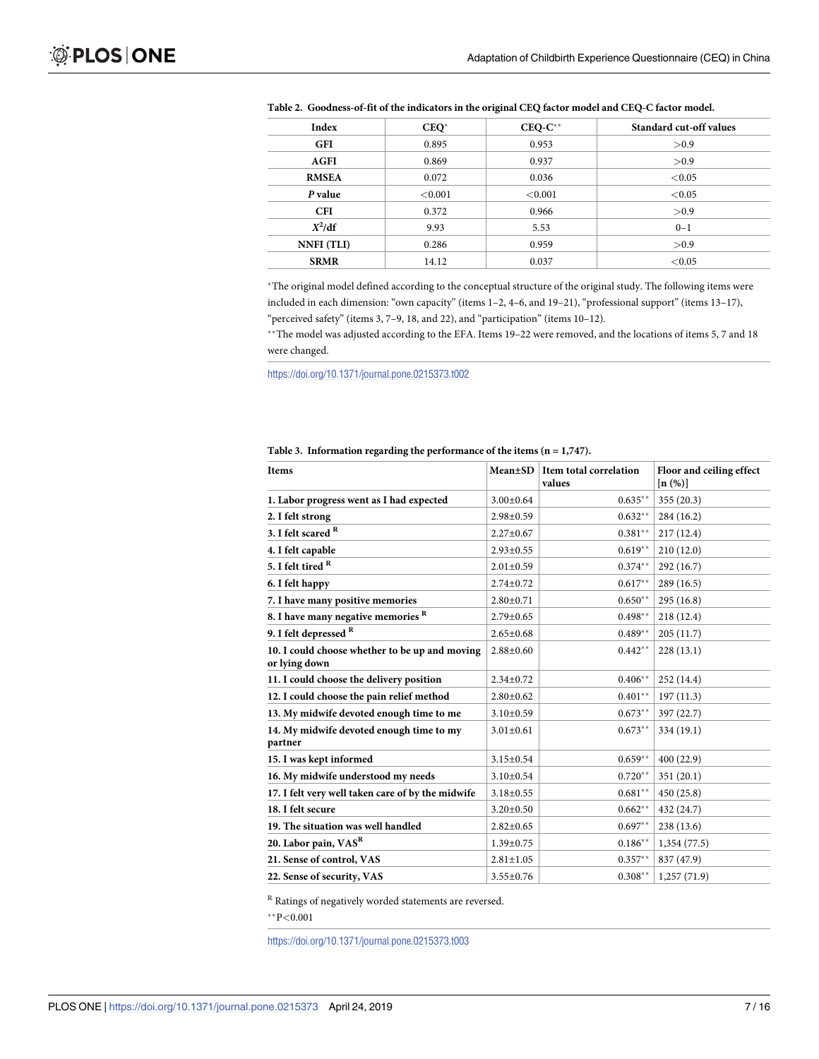| Index        | $CEQ^*$ | $CEQ-C**$ | <b>Standard cut-off values</b> |
|--------------|---------|-----------|--------------------------------|
| <b>GFI</b>   | 0.895   | 0.953     | > 0.9                          |
| <b>AGFI</b>  | 0.869   | 0.937     | >0.9                           |
| <b>RMSEA</b> | 0.072   | 0.036     | < 0.05                         |
| P value      | < 0.001 | < 0.001   | < 0.05                         |
| <b>CFI</b>   | 0.372   | 0.966     | > 0.9                          |
| $X^2/df$     | 9.93    | 5.53      | $0 - 1$                        |
| NNFI (TLI)   | 0.286   | 0.959     | >0.9                           |
| <b>SRMR</b>  | 14.12   | 0.037     | < 0.05                         |

<span id="page-6-0"></span>**[Table](#page-5-0) 2. Goodness-of-fit of the indicators in the original CEQ factor model and CEQ-C factor model.**

�The original model defined according to the conceptual structure of the original study. The following items were included in each dimension: "own capacity" (items 1–2, 4–6, and 19–21), "professional support" (items 13–17), "perceived safety" (items 3, 7–9, 18, and 22), and "participation" (items 10–12).

��The model was adjusted according to the EFA. Items 19–22 were removed, and the locations of items 5, 7 and 18 were changed.

<https://doi.org/10.1371/journal.pone.0215373.t002>

| <b>Items</b>                                        |                 | Mean±SD Item total correlation<br>values | Floor and ceiling effect<br>[n (%)] |
|-----------------------------------------------------|-----------------|------------------------------------------|-------------------------------------|
| 1. Labor progress went as I had expected            | $3.00 \pm 0.64$ | $0.635**$                                | 355 (20.3)                          |
| 2. I felt strong                                    | $2.98 \pm 0.59$ | $0.632**$                                | 284 (16.2)                          |
| 3. I felt scared R                                  | $2.27 \pm 0.67$ | $0.381**$                                | 217 (12.4)                          |
| 4. I felt capable                                   | $2.93 \pm 0.55$ | $0.619**$                                | 210(12.0)                           |
| 5. I felt tired $R$                                 | $2.01 \pm 0.59$ | $0.374***$                               | 292 (16.7)                          |
| 6. I felt happy                                     | $2.74 \pm 0.72$ | $0.617**$                                | 289 (16.5)                          |
| 7. I have many positive memories                    | $2.80 \pm 0.71$ | $0.650**$                                | 295(16.8)                           |
| 8. I have many negative memories R                  | $2.79 \pm 0.65$ | $0.498**$                                | 218 (12.4)                          |
| 9. I felt depressed R                               | $2.65 \pm 0.68$ | $0.489**$                                | 205(11.7)                           |
| 10. I could choose whether to be up and moving      | $2.88 \pm 0.60$ | $0.442**$                                | 228(13.1)                           |
| or lying down                                       |                 |                                          |                                     |
| 11. I could choose the delivery position            | $2.34 \pm 0.72$ | $0.406***$                               | 252 (14.4)                          |
| 12. I could choose the pain relief method           | $2.80 \pm 0.62$ | $0.401**$                                | 197(11.3)                           |
| 13. My midwife devoted enough time to me            | $3.10 \pm 0.59$ | $0.673**$                                | 397 (22.7)                          |
| 14. My midwife devoted enough time to my<br>partner | $3.01 \pm 0.61$ | $0.673**$                                | 334 (19.1)                          |
| 15. I was kept informed                             | $3.15 \pm 0.54$ | $0.659**$                                | 400 (22.9)                          |
| 16. My midwife understood my needs                  | $3.10 \pm 0.54$ | $0.720**$                                | 351 (20.1)                          |
| 17. I felt very well taken care of by the midwife   | $3.18 \pm 0.55$ | $0.681**$                                | 450 (25.8)                          |
| 18. I felt secure                                   | $3.20 \pm 0.50$ | $0.662**$                                | 432 (24.7)                          |
| 19. The situation was well handled                  | $2.82 \pm 0.65$ | $0.697**$                                | 238 (13.6)                          |
| 20. Labor pain, VASR                                | $1.39 \pm 0.75$ | $0.186**$                                | 1,354(77.5)                         |
| 21. Sense of control, VAS                           | $2.81 \pm 1.05$ | $0.357**$                                | 837 (47.9)                          |
| 22. Sense of security, VAS                          | $3.55 \pm 0.76$ | $0.308**$                                | 1,257(71.9)                         |

**[Table](#page-5-0) 3. Information regarding the performance of the items (n = 1,747).**

 $^{\rm R}$  Ratings of negatively worded statements are reversed.

 $*$ <sup>\*</sup> $P$ <0.001

<https://doi.org/10.1371/journal.pone.0215373.t003>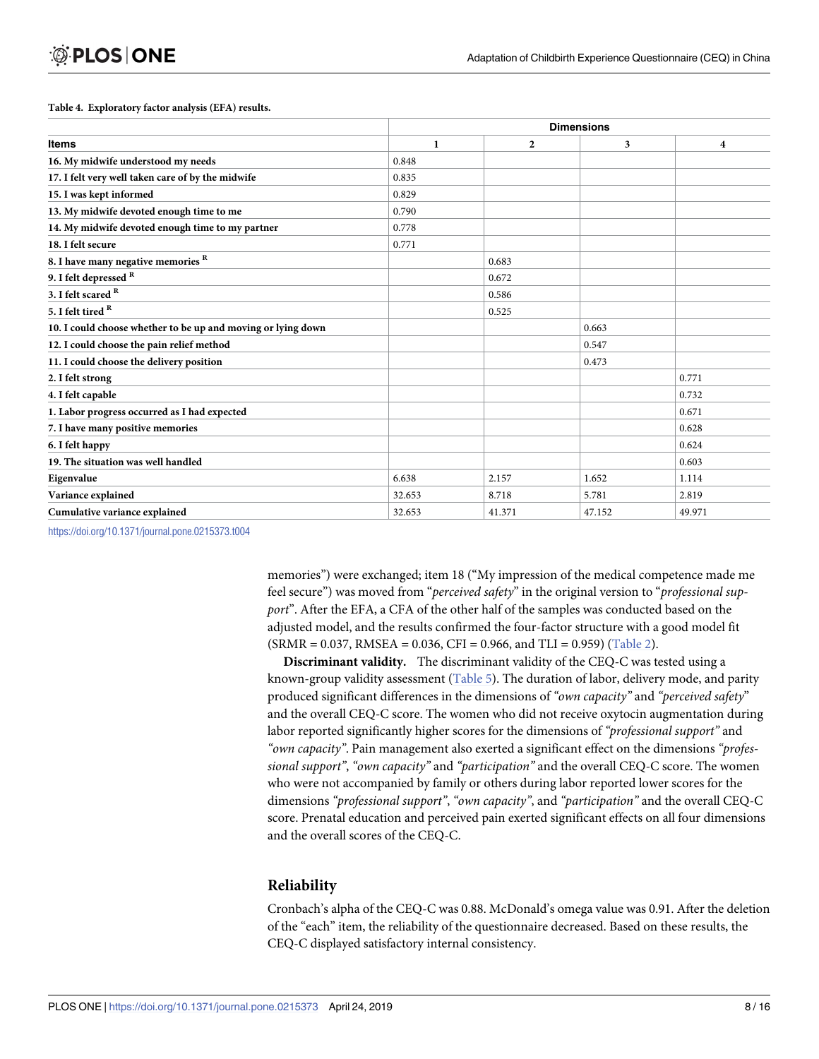<span id="page-7-0"></span>**[Table](#page-5-0) 4. Exploratory factor analysis (EFA) results.**

|                                                              | <b>Dimensions</b> |                |        |        |  |
|--------------------------------------------------------------|-------------------|----------------|--------|--------|--|
| <b>Items</b>                                                 | 1                 | $\overline{2}$ | 3      | 4      |  |
| 16. My midwife understood my needs                           | 0.848             |                |        |        |  |
| 17. I felt very well taken care of by the midwife            | 0.835             |                |        |        |  |
| 15. I was kept informed                                      | 0.829             |                |        |        |  |
| 13. My midwife devoted enough time to me                     | 0.790             |                |        |        |  |
| 14. My midwife devoted enough time to my partner             | 0.778             |                |        |        |  |
| 18. I felt secure                                            | 0.771             |                |        |        |  |
| 8. I have many negative memories R                           |                   | 0.683          |        |        |  |
| 9. I felt depressed R                                        |                   | 0.672          |        |        |  |
| 3. I felt scared $R$                                         |                   | 0.586          |        |        |  |
| 5. I felt tired $R$                                          |                   | 0.525          |        |        |  |
| 10. I could choose whether to be up and moving or lying down |                   |                | 0.663  |        |  |
| 12. I could choose the pain relief method                    |                   |                | 0.547  |        |  |
| 11. I could choose the delivery position                     |                   |                | 0.473  |        |  |
| 2. I felt strong                                             |                   |                |        | 0.771  |  |
| 4. I felt capable                                            |                   |                |        | 0.732  |  |
| 1. Labor progress occurred as I had expected                 |                   |                |        | 0.671  |  |
| 7. I have many positive memories                             |                   |                |        | 0.628  |  |
| 6. I felt happy                                              |                   |                |        | 0.624  |  |
| 19. The situation was well handled                           |                   |                |        | 0.603  |  |
| Eigenvalue                                                   | 6.638             | 2.157          | 1.652  | 1.114  |  |
| Variance explained                                           | 32.653            | 8.718          | 5.781  | 2.819  |  |
| Cumulative variance explained                                | 32.653            | 41.371         | 47.152 | 49.971 |  |

<https://doi.org/10.1371/journal.pone.0215373.t004>

memories") were exchanged; item 18 ("My impression of the medical competence made me feel secure") was moved from "*perceived safety*" in the original version to "*professional support*". After the EFA, a CFA of the other half of the samples was conducted based on the adjusted model, and the results confirmed the four-factor structure with a good model fit  $(SRMR = 0.037, RMSEA = 0.036, CFI = 0.966, and TLI = 0.959)$  ([Table](#page-6-0) 2).

**Discriminant validity.** The discriminant validity of the CEQ-C was tested using a known-group validity assessment ([Table](#page-8-0) 5). The duration of labor, delivery mode, and parity produced significant differences in the dimensions of *"own capacity"* and *"perceived safety*" and the overall CEQ-C score. The women who did not receive oxytocin augmentation during labor reported significantly higher scores for the dimensions of *"professional support"* and *"own capacity"*. Pain management also exerted a significant effect on the dimensions *"professional support"*, *"own capacity"* and *"participation"* and the overall CEQ-C score. The women who were not accompanied by family or others during labor reported lower scores for the dimensions *"professional support"*, *"own capacity"*, and *"participation"* and the overall CEQ-C score. Prenatal education and perceived pain exerted significant effects on all four dimensions and the overall scores of the CEQ-C.

# **Reliability**

Cronbach's alpha of the CEQ-C was 0.88. McDonald's omega value was 0.91. After the deletion of the "each" item, the reliability of the questionnaire decreased. Based on these results, the CEQ-C displayed satisfactory internal consistency.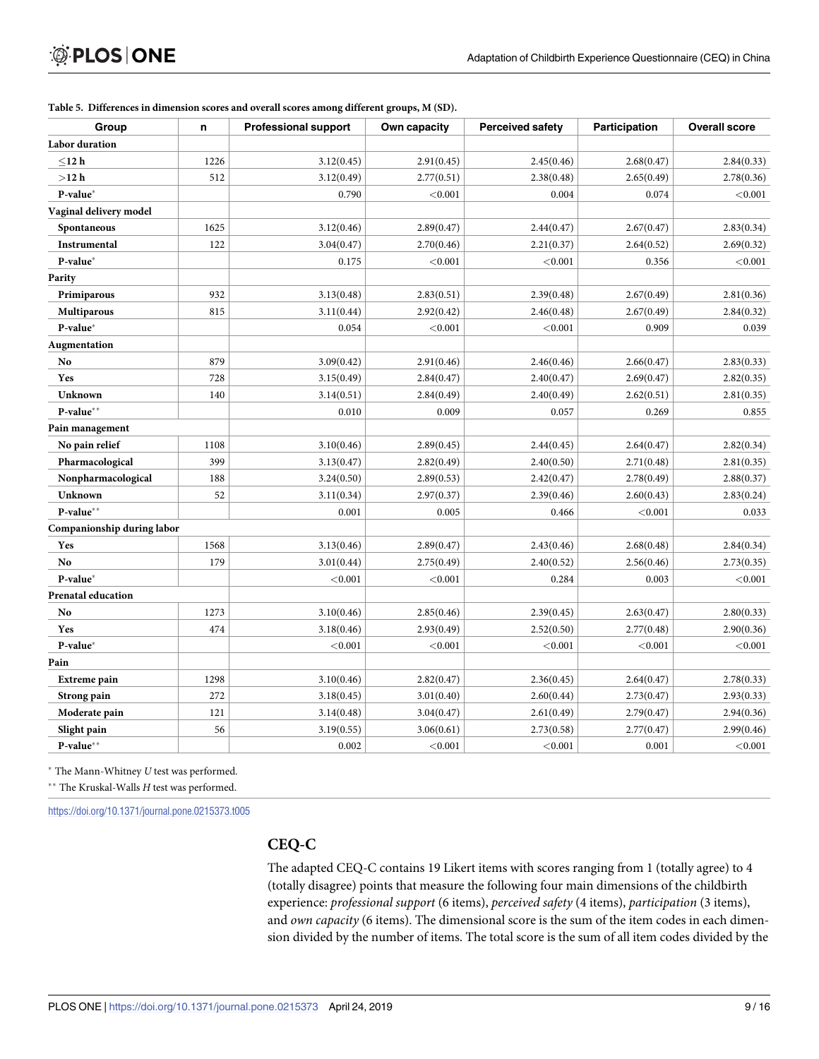| Group                      | n    | <b>Professional support</b> | Own capacity | <b>Perceived safety</b> | Participation | <b>Overall score</b> |
|----------------------------|------|-----------------------------|--------------|-------------------------|---------------|----------------------|
| <b>Labor</b> duration      |      |                             |              |                         |               |                      |
| $<$ 12 $h$                 | 1226 | 3.12(0.45)                  | 2.91(0.45)   | 2.45(0.46)              | 2.68(0.47)    | 2.84(0.33)           |
| >12 h                      | 512  | 3.12(0.49)                  | 2.77(0.51)   | 2.38(0.48)              | 2.65(0.49)    | 2.78(0.36)           |
| P-value*                   |      | 0.790                       | < 0.001      | 0.004                   | 0.074         | < 0.001              |
| Vaginal delivery model     |      |                             |              |                         |               |                      |
| Spontaneous                | 1625 | 3.12(0.46)                  | 2.89(0.47)   | 2.44(0.47)              | 2.67(0.47)    | 2.83(0.34)           |
| Instrumental               | 122  | 3.04(0.47)                  | 2.70(0.46)   | 2.21(0.37)              | 2.64(0.52)    | 2.69(0.32)           |
| P-value*                   |      | 0.175                       | < 0.001      | < 0.001                 | 0.356         | < 0.001              |
| Parity                     |      |                             |              |                         |               |                      |
| Primiparous                | 932  | 3.13(0.48)                  | 2.83(0.51)   | 2.39(0.48)              | 2.67(0.49)    | 2.81(0.36)           |
| <b>Multiparous</b>         | 815  | 3.11(0.44)                  | 2.92(0.42)   | 2.46(0.48)              | 2.67(0.49)    | 2.84(0.32)           |
| P-value*                   |      | 0.054                       | < 0.001      | < 0.001                 | 0.909         | 0.039                |
| Augmentation               |      |                             |              |                         |               |                      |
| No                         | 879  | 3.09(0.42)                  | 2.91(0.46)   | 2.46(0.46)              | 2.66(0.47)    | 2.83(0.33)           |
| Yes                        | 728  | 3.15(0.49)                  | 2.84(0.47)   | 2.40(0.47)              | 2.69(0.47)    | 2.82(0.35)           |
| <b>Unknown</b>             | 140  | 3.14(0.51)                  | 2.84(0.49)   | 2.40(0.49)              | 2.62(0.51)    | 2.81(0.35)           |
| P-value**                  |      | 0.010                       | 0.009        | 0.057                   | 0.269         | 0.855                |
| Pain management            |      |                             |              |                         |               |                      |
| No pain relief             | 1108 | 3.10(0.46)                  | 2.89(0.45)   | 2.44(0.45)              | 2.64(0.47)    | 2.82(0.34)           |
| Pharmacological            | 399  | 3.13(0.47)                  | 2.82(0.49)   | 2.40(0.50)              | 2.71(0.48)    | 2.81(0.35)           |
| Nonpharmacological         | 188  | 3.24(0.50)                  | 2.89(0.53)   | 2.42(0.47)              | 2.78(0.49)    | 2.88(0.37)           |
| <b>Unknown</b>             | 52   | 3.11(0.34)                  | 2.97(0.37)   | 2.39(0.46)              | 2.60(0.43)    | 2.83(0.24)           |
| P-value**                  |      | 0.001                       | 0.005        | 0.466                   | < 0.001       | 0.033                |
| Companionship during labor |      |                             |              |                         |               |                      |
| Yes                        | 1568 | 3.13(0.46)                  | 2.89(0.47)   | 2.43(0.46)              | 2.68(0.48)    | 2.84(0.34)           |
| No                         | 179  | 3.01(0.44)                  | 2.75(0.49)   | 2.40(0.52)              | 2.56(0.46)    | 2.73(0.35)           |
| P-value*                   |      | < 0.001                     | < 0.001      | 0.284                   | 0.003         | < 0.001              |
| Prenatal education         |      |                             |              |                         |               |                      |
| No                         | 1273 | 3.10(0.46)                  | 2.85(0.46)   | 2.39(0.45)              | 2.63(0.47)    | 2.80(0.33)           |
| Yes                        | 474  | 3.18(0.46)                  | 2.93(0.49)   | 2.52(0.50)              | 2.77(0.48)    | 2.90(0.36)           |
| P-value*                   |      | < 0.001                     | < 0.001      | < 0.001                 | < 0.001       | < 0.001              |
| Pain                       |      |                             |              |                         |               |                      |
| Extreme pain               | 1298 | 3.10(0.46)                  | 2.82(0.47)   | 2.36(0.45)              | 2.64(0.47)    | 2.78(0.33)           |
| Strong pain                | 272  | 3.18(0.45)                  | 3.01(0.40)   | 2.60(0.44)              | 2.73(0.47)    | 2.93(0.33)           |
| Moderate pain              | 121  | 3.14(0.48)                  | 3.04(0.47)   | 2.61(0.49)              | 2.79(0.47)    | 2.94(0.36)           |
| Slight pain                | 56   | 3.19(0.55)                  | 3.06(0.61)   | 2.73(0.58)              | 2.77(0.47)    | 2.99(0.46)           |
| P-value**                  |      | 0.002                       | < 0.001      | < 0.001                 | 0.001         | < 0.001              |

<span id="page-8-0"></span>**[Table](#page-7-0) 5. Differences in dimension scores and overall scores among different groups, M (SD).**

� The Mann-Whitney *U* test was performed.

�� The Kruskal-Walls *H* test was performed.

<https://doi.org/10.1371/journal.pone.0215373.t005>

# **CEQ-C**

The adapted CEQ-C contains 19 Likert items with scores ranging from 1 (totally agree) to 4 (totally disagree) points that measure the following four main dimensions of the childbirth experience: *professional support* (6 items), *perceived safety* (4 items), *participation* (3 items), and *own capacity* (6 items). The dimensional score is the sum of the item codes in each dimension divided by the number of items. The total score is the sum of all item codes divided by the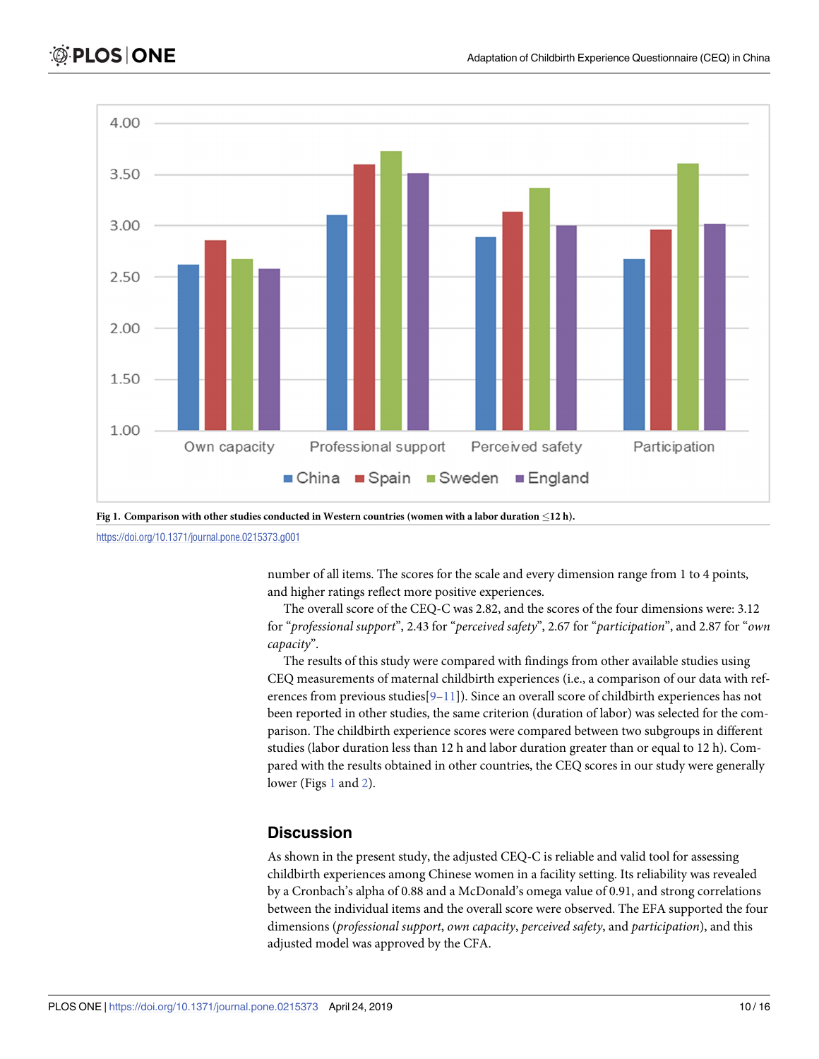<span id="page-9-0"></span>

**Fig 1. Comparison with other studies conducted in Western countries (women with a labor duration** �**12 h).**

<https://doi.org/10.1371/journal.pone.0215373.g001>

number of all items. The scores for the scale and every dimension range from 1 to 4 points, and higher ratings reflect more positive experiences.

The overall score of the CEQ-C was 2.82, and the scores of the four dimensions were: 3.12 for "*professional support*", 2.43 for "*perceived safety*", 2.67 for "*participation*", and 2.87 for "*own capacity*".

The results of this study were compared with findings from other available studies using CEQ measurements of maternal childbirth experiences (i.e., a comparison of our data with references from previous studies $[9-11]$ ). Since an overall score of childbirth experiences has not been reported in other studies, the same criterion (duration of labor) was selected for the comparison. The childbirth experience scores were compared between two subgroups in different studies (labor duration less than 12 h and labor duration greater than or equal to 12 h). Compared with the results obtained in other countries, the CEQ scores in our study were generally lower (Figs 1 and [2](#page-10-0)).

# **Discussion**

As shown in the present study, the adjusted CEQ-C is reliable and valid tool for assessing childbirth experiences among Chinese women in a facility setting. Its reliability was revealed by a Cronbach's alpha of 0.88 and a McDonald's omega value of 0.91, and strong correlations between the individual items and the overall score were observed. The EFA supported the four dimensions (*professional support*, *own capacity*, *perceived safety*, and *participation*), and this adjusted model was approved by the CFA.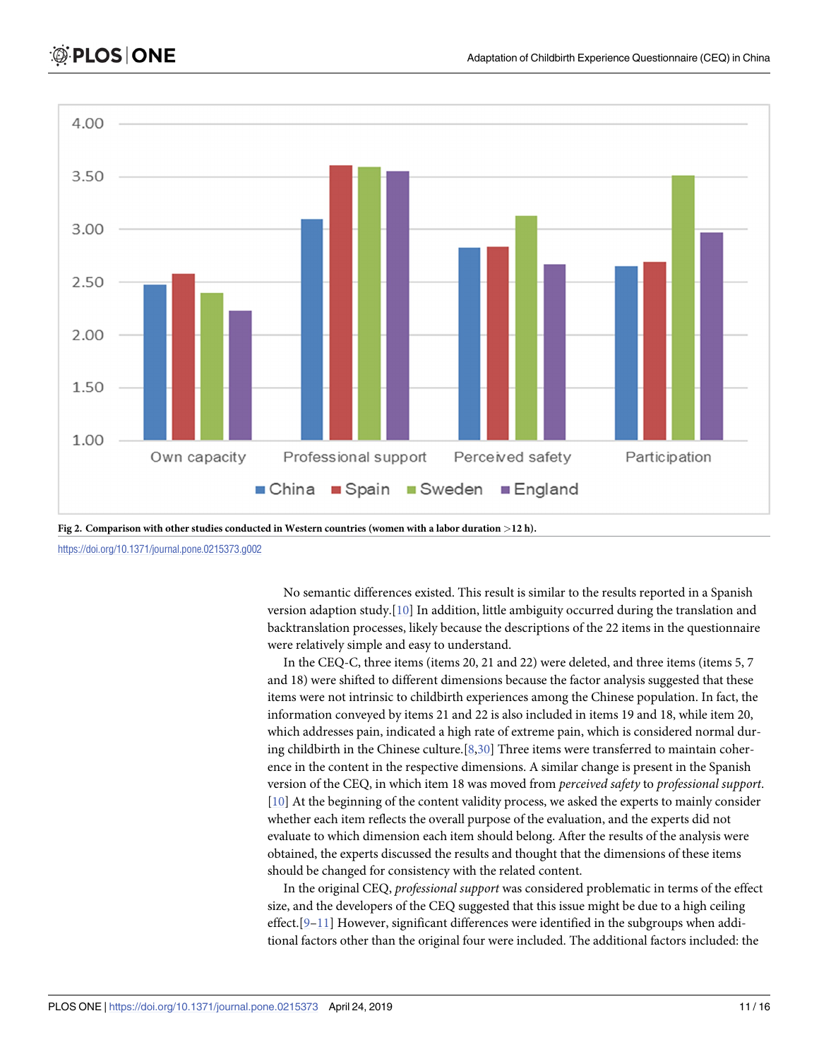<span id="page-10-0"></span>



<https://doi.org/10.1371/journal.pone.0215373.g002>

No semantic differences existed. This result is similar to the results reported in a Spanish version adaption study.[\[10\]](#page-13-0) In addition, little ambiguity occurred during the translation and backtranslation processes, likely because the descriptions of the 22 items in the questionnaire were relatively simple and easy to understand.

In the CEQ-C, three items (items 20, 21 and 22) were deleted, and three items (items 5, 7 and 18) were shifted to different dimensions because the factor analysis suggested that these items were not intrinsic to childbirth experiences among the Chinese population. In fact, the information conveyed by items 21 and 22 is also included in items 19 and 18, while item 20, which addresses pain, indicated a high rate of extreme pain, which is considered normal during childbirth in the Chinese culture.[\[8,](#page-13-0)[30\]](#page-14-0) Three items were transferred to maintain coherence in the content in the respective dimensions. A similar change is present in the Spanish version of the CEQ, in which item 18 was moved from *perceived safety* to *professional support*. [\[10\]](#page-13-0) At the beginning of the content validity process, we asked the experts to mainly consider whether each item reflects the overall purpose of the evaluation, and the experts did not evaluate to which dimension each item should belong. After the results of the analysis were obtained, the experts discussed the results and thought that the dimensions of these items should be changed for consistency with the related content.

In the original CEQ, *professional support* was considered problematic in terms of the effect size, and the developers of the CEQ suggested that this issue might be due to a high ceiling effect.[\[9–11\]](#page-13-0) However, significant differences were identified in the subgroups when additional factors other than the original four were included. The additional factors included: the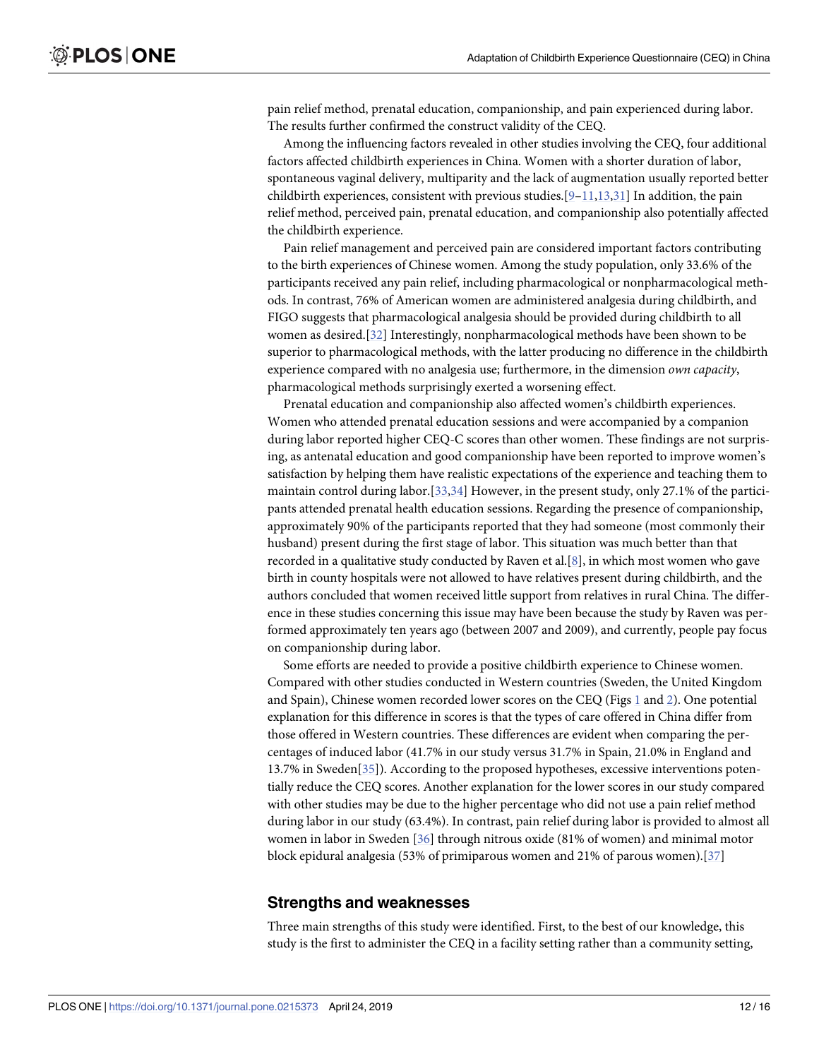<span id="page-11-0"></span>pain relief method, prenatal education, companionship, and pain experienced during labor. The results further confirmed the construct validity of the CEQ.

Among the influencing factors revealed in other studies involving the CEQ, four additional factors affected childbirth experiences in China. Women with a shorter duration of labor, spontaneous vaginal delivery, multiparity and the lack of augmentation usually reported better childbirth experiences, consistent with previous studies.  $[9-11,13,31]$  $[9-11,13,31]$  $[9-11,13,31]$  $[9-11,13,31]$  In addition, the pain relief method, perceived pain, prenatal education, and companionship also potentially affected the childbirth experience.

Pain relief management and perceived pain are considered important factors contributing to the birth experiences of Chinese women. Among the study population, only 33.6% of the participants received any pain relief, including pharmacological or nonpharmacological methods. In contrast, 76% of American women are administered analgesia during childbirth, and FIGO suggests that pharmacological analgesia should be provided during childbirth to all women as desired.[[32](#page-14-0)] Interestingly, nonpharmacological methods have been shown to be superior to pharmacological methods, with the latter producing no difference in the childbirth experience compared with no analgesia use; furthermore, in the dimension *own capacity*, pharmacological methods surprisingly exerted a worsening effect.

Prenatal education and companionship also affected women's childbirth experiences. Women who attended prenatal education sessions and were accompanied by a companion during labor reported higher CEQ-C scores than other women. These findings are not surprising, as antenatal education and good companionship have been reported to improve women's satisfaction by helping them have realistic expectations of the experience and teaching them to maintain control during labor.[\[33,](#page-14-0)[34](#page-15-0)] However, in the present study, only 27.1% of the participants attended prenatal health education sessions. Regarding the presence of companionship, approximately 90% of the participants reported that they had someone (most commonly their husband) present during the first stage of labor. This situation was much better than that recorded in a qualitative study conducted by Raven et al.[[8](#page-13-0)], in which most women who gave birth in county hospitals were not allowed to have relatives present during childbirth, and the authors concluded that women received little support from relatives in rural China. The difference in these studies concerning this issue may have been because the study by Raven was performed approximately ten years ago (between 2007 and 2009), and currently, people pay focus on companionship during labor.

Some efforts are needed to provide a positive childbirth experience to Chinese women. Compared with other studies conducted in Western countries (Sweden, the United Kingdom and Spain), Chinese women recorded lower scores on the CEQ (Figs [1](#page-9-0) and [2](#page-10-0)). One potential explanation for this difference in scores is that the types of care offered in China differ from those offered in Western countries. These differences are evident when comparing the percentages of induced labor (41.7% in our study versus 31.7% in Spain, 21.0% in England and 13.7% in Sweden[[35](#page-15-0)]). According to the proposed hypotheses, excessive interventions potentially reduce the CEQ scores. Another explanation for the lower scores in our study compared with other studies may be due to the higher percentage who did not use a pain relief method during labor in our study (63.4%). In contrast, pain relief during labor is provided to almost all women in labor in Sweden [\[36\]](#page-15-0) through nitrous oxide (81% of women) and minimal motor block epidural analgesia (53% of primiparous women and 21% of parous women).[\[37\]](#page-15-0)

#### **Strengths and weaknesses**

Three main strengths of this study were identified. First, to the best of our knowledge, this study is the first to administer the CEQ in a facility setting rather than a community setting,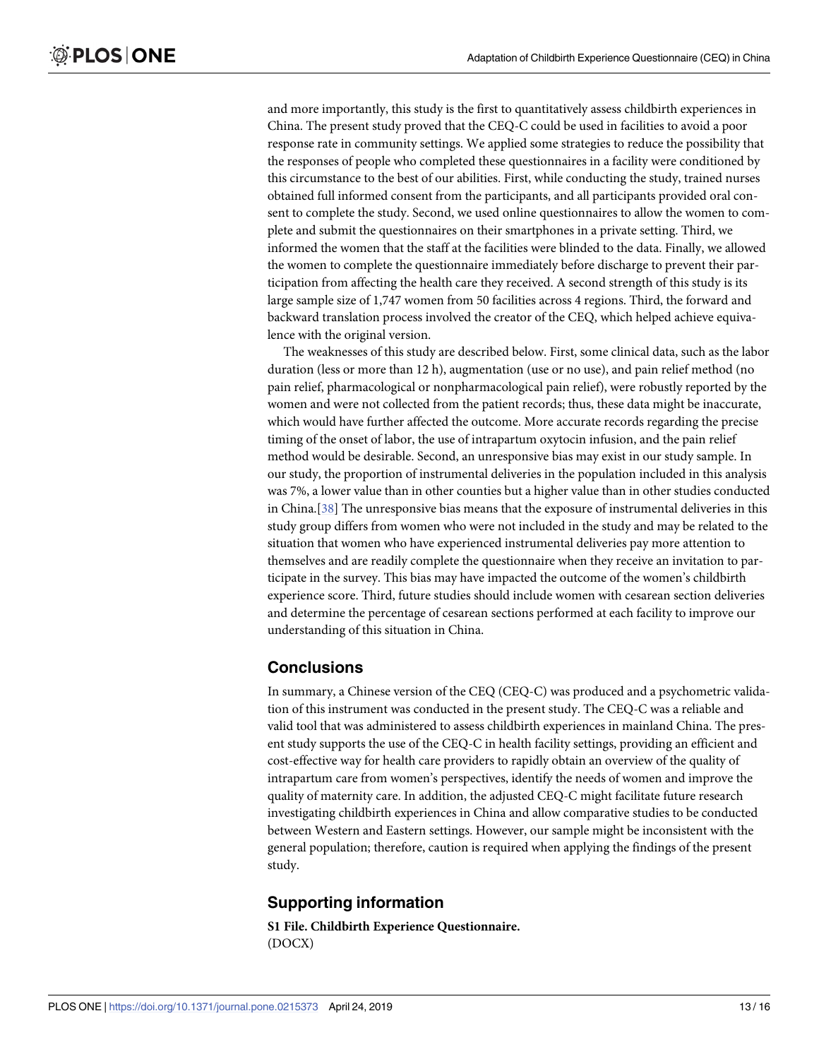<span id="page-12-0"></span>and more importantly, this study is the first to quantitatively assess childbirth experiences in China. The present study proved that the CEQ-C could be used in facilities to avoid a poor response rate in community settings. We applied some strategies to reduce the possibility that the responses of people who completed these questionnaires in a facility were conditioned by this circumstance to the best of our abilities. First, while conducting the study, trained nurses obtained full informed consent from the participants, and all participants provided oral consent to complete the study. Second, we used online questionnaires to allow the women to complete and submit the questionnaires on their smartphones in a private setting. Third, we informed the women that the staff at the facilities were blinded to the data. Finally, we allowed the women to complete the questionnaire immediately before discharge to prevent their participation from affecting the health care they received. A second strength of this study is its large sample size of 1,747 women from 50 facilities across 4 regions. Third, the forward and backward translation process involved the creator of the CEQ, which helped achieve equivalence with the original version.

The weaknesses of this study are described below. First, some clinical data, such as the labor duration (less or more than 12 h), augmentation (use or no use), and pain relief method (no pain relief, pharmacological or nonpharmacological pain relief), were robustly reported by the women and were not collected from the patient records; thus, these data might be inaccurate, which would have further affected the outcome. More accurate records regarding the precise timing of the onset of labor, the use of intrapartum oxytocin infusion, and the pain relief method would be desirable. Second, an unresponsive bias may exist in our study sample. In our study, the proportion of instrumental deliveries in the population included in this analysis was 7%, a lower value than in other counties but a higher value than in other studies conducted in China.[\[38\]](#page-15-0) The unresponsive bias means that the exposure of instrumental deliveries in this study group differs from women who were not included in the study and may be related to the situation that women who have experienced instrumental deliveries pay more attention to themselves and are readily complete the questionnaire when they receive an invitation to participate in the survey. This bias may have impacted the outcome of the women's childbirth experience score. Third, future studies should include women with cesarean section deliveries and determine the percentage of cesarean sections performed at each facility to improve our understanding of this situation in China.

# **Conclusions**

In summary, a Chinese version of the CEQ (CEQ-C) was produced and a psychometric validation of this instrument was conducted in the present study. The CEQ-C was a reliable and valid tool that was administered to assess childbirth experiences in mainland China. The present study supports the use of the CEQ-C in health facility settings, providing an efficient and cost-effective way for health care providers to rapidly obtain an overview of the quality of intrapartum care from women's perspectives, identify the needs of women and improve the quality of maternity care. In addition, the adjusted CEQ-C might facilitate future research investigating childbirth experiences in China and allow comparative studies to be conducted between Western and Eastern settings. However, our sample might be inconsistent with the general population; therefore, caution is required when applying the findings of the present study.

# **Supporting information**

**S1 [File.](http://www.plosone.org/article/fetchSingleRepresentation.action?uri=info:doi/10.1371/journal.pone.0215373.s001) Childbirth Experience Questionnaire.** (DOCX)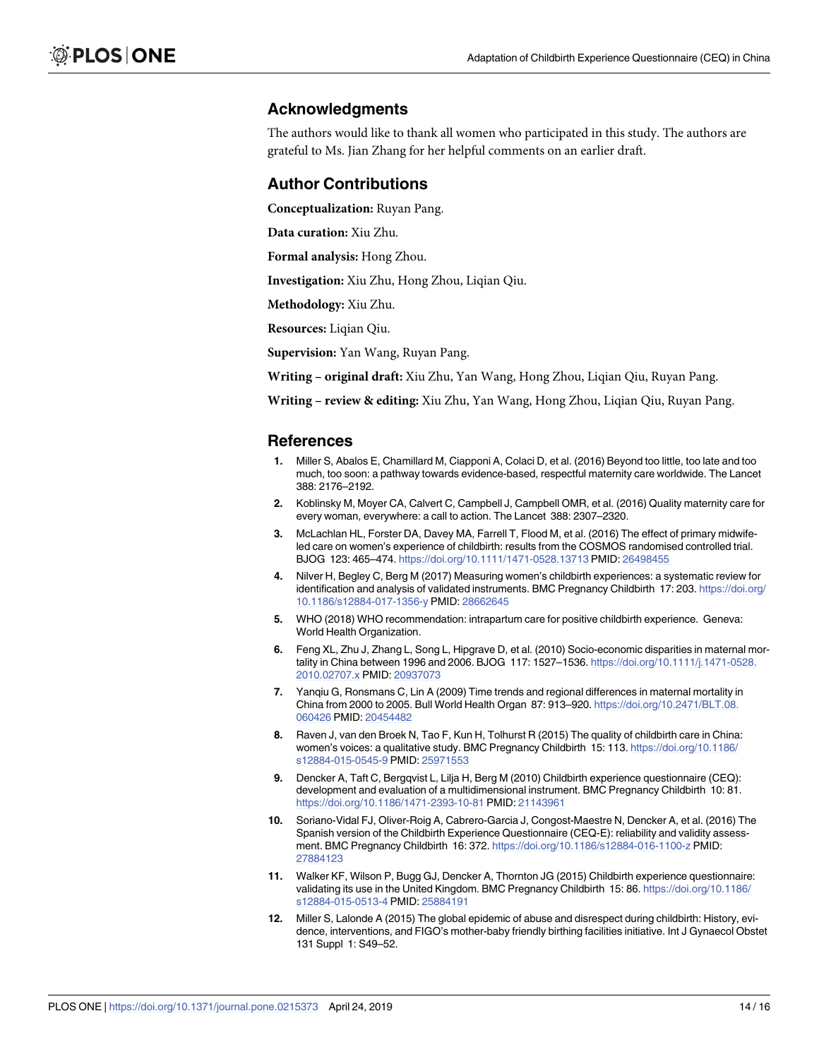# <span id="page-13-0"></span>**Acknowledgments**

The authors would like to thank all women who participated in this study. The authors are grateful to Ms. Jian Zhang for her helpful comments on an earlier draft.

# **Author Contributions**

**Conceptualization:** Ruyan Pang.

**Data curation:** Xiu Zhu.

**Formal analysis:** Hong Zhou.

**Investigation:** Xiu Zhu, Hong Zhou, Liqian Qiu.

**Methodology:** Xiu Zhu.

**Resources:** Liqian Qiu.

**Supervision:** Yan Wang, Ruyan Pang.

**Writing – original draft:** Xiu Zhu, Yan Wang, Hong Zhou, Liqian Qiu, Ruyan Pang.

**Writing – review & editing:** Xiu Zhu, Yan Wang, Hong Zhou, Liqian Qiu, Ruyan Pang.

# **References**

- **[1](#page-1-0).** Miller S, Abalos E, Chamillard M, Ciapponi A, Colaci D, et al. (2016) Beyond too little, too late and too much, too soon: a pathway towards evidence-based, respectful maternity care worldwide. The Lancet 388: 2176–2192.
- **[2](#page-1-0).** Koblinsky M, Moyer CA, Calvert C, Campbell J, Campbell OMR, et al. (2016) Quality maternity care for every woman, everywhere: a call to action. The Lancet 388: 2307–2320.
- **[3](#page-1-0).** McLachlan HL, Forster DA, Davey MA, Farrell T, Flood M, et al. (2016) The effect of primary midwifeled care on women's experience of childbirth: results from the COSMOS randomised controlled trial. BJOG 123: 465–474. <https://doi.org/10.1111/1471-0528.13713> PMID: [26498455](http://www.ncbi.nlm.nih.gov/pubmed/26498455)
- **[4](#page-1-0).** Nilver H, Begley C, Berg M (2017) Measuring women's childbirth experiences: a systematic review for identification and analysis of validated instruments. BMC Pregnancy Childbirth 17: 203. [https://doi.org/](https://doi.org/10.1186/s12884-017-1356-y) [10.1186/s12884-017-1356-y](https://doi.org/10.1186/s12884-017-1356-y) PMID: [28662645](http://www.ncbi.nlm.nih.gov/pubmed/28662645)
- **[5](#page-1-0).** WHO (2018) WHO recommendation: intrapartum care for positive childbirth experience. Geneva: World Health Organization.
- **[6](#page-1-0).** Feng XL, Zhu J, Zhang L, Song L, Hipgrave D, et al. (2010) Socio-economic disparities in maternal mortality in China between 1996 and 2006. BJOG 117: 1527–1536. [https://doi.org/10.1111/j.1471-0528.](https://doi.org/10.1111/j.1471-0528.2010.02707.x) [2010.02707.x](https://doi.org/10.1111/j.1471-0528.2010.02707.x) PMID: [20937073](http://www.ncbi.nlm.nih.gov/pubmed/20937073)
- **[7](#page-1-0).** Yanqiu G, Ronsmans C, Lin A (2009) Time trends and regional differences in maternal mortality in China from 2000 to 2005. Bull World Health Organ 87: 913–920. [https://doi.org/10.2471/BLT.08.](https://doi.org/10.2471/BLT.08.060426) [060426](https://doi.org/10.2471/BLT.08.060426) PMID: [20454482](http://www.ncbi.nlm.nih.gov/pubmed/20454482)
- **[8](#page-1-0).** Raven J, van den Broek N, Tao F, Kun H, Tolhurst R (2015) The quality of childbirth care in China: women's voices: a qualitative study. BMC Pregnancy Childbirth 15: 113. [https://doi.org/10.1186/](https://doi.org/10.1186/s12884-015-0545-9) [s12884-015-0545-9](https://doi.org/10.1186/s12884-015-0545-9) PMID: [25971553](http://www.ncbi.nlm.nih.gov/pubmed/25971553)
- **[9](#page-1-0).** Dencker A, Taft C, Bergqvist L, Lilja H, Berg M (2010) Childbirth experience questionnaire (CEQ): development and evaluation of a multidimensional instrument. BMC Pregnancy Childbirth 10: 81. <https://doi.org/10.1186/1471-2393-10-81> PMID: [21143961](http://www.ncbi.nlm.nih.gov/pubmed/21143961)
- **[10](#page-1-0).** Soriano-Vidal FJ, Oliver-Roig A, Cabrero-Garcia J, Congost-Maestre N, Dencker A, et al. (2016) The Spanish version of the Childbirth Experience Questionnaire (CEQ-E): reliability and validity assessment. BMC Pregnancy Childbirth 16: 372. <https://doi.org/10.1186/s12884-016-1100-z> PMID: [27884123](http://www.ncbi.nlm.nih.gov/pubmed/27884123)
- **[11](#page-1-0).** Walker KF, Wilson P, Bugg GJ, Dencker A, Thornton JG (2015) Childbirth experience questionnaire: validating its use in the United Kingdom. BMC Pregnancy Childbirth 15: 86. [https://doi.org/10.1186/](https://doi.org/10.1186/s12884-015-0513-4) [s12884-015-0513-4](https://doi.org/10.1186/s12884-015-0513-4) PMID: [25884191](http://www.ncbi.nlm.nih.gov/pubmed/25884191)
- **[12](#page-1-0).** Miller S, Lalonde A (2015) The global epidemic of abuse and disrespect during childbirth: History, evidence, interventions, and FIGO's mother-baby friendly birthing facilities initiative. Int J Gynaecol Obstet 131 Suppl 1: S49–52.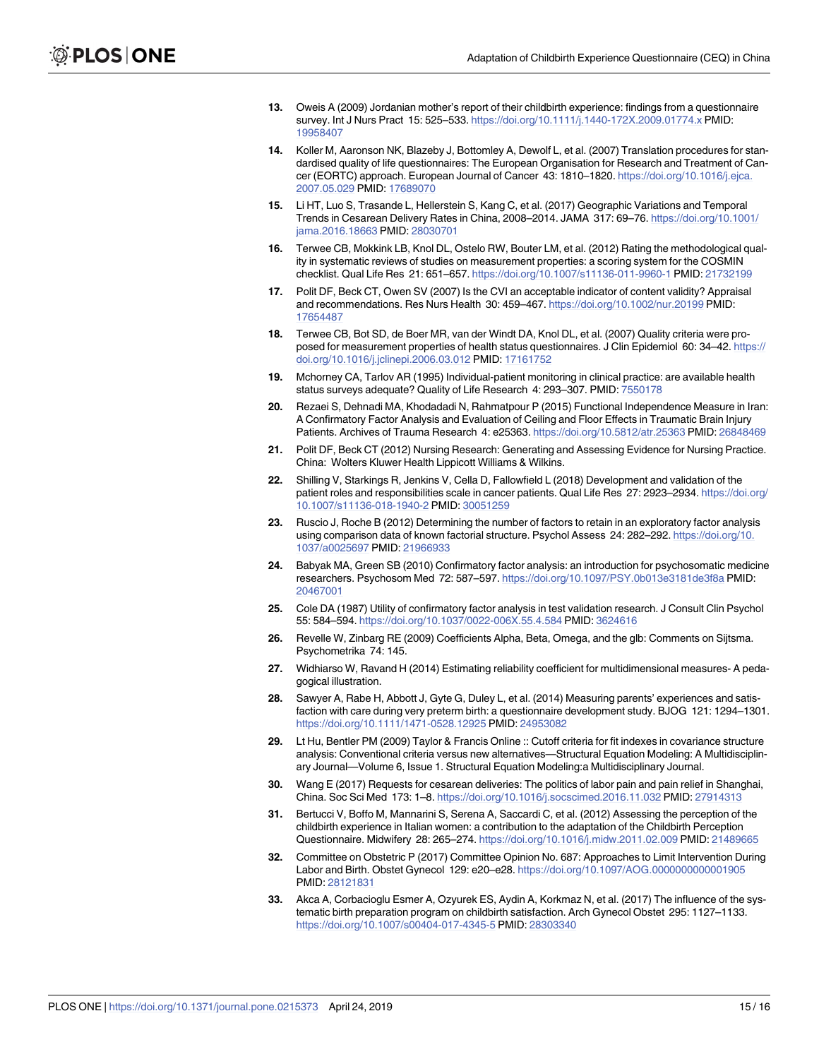- <span id="page-14-0"></span>**[13](#page-1-0).** Oweis A (2009) Jordanian mother's report of their childbirth experience: findings from a questionnaire survey. Int J Nurs Pract 15: 525–533. <https://doi.org/10.1111/j.1440-172X.2009.01774.x> PMID: [19958407](http://www.ncbi.nlm.nih.gov/pubmed/19958407)
- **[14](#page-2-0).** Koller M, Aaronson NK, Blazeby J, Bottomley A, Dewolf L, et al. (2007) Translation procedures for standardised quality of life questionnaires: The European Organisation for Research and Treatment of Cancer (EORTC) approach. European Journal of Cancer 43: 1810–1820. [https://doi.org/10.1016/j.ejca.](https://doi.org/10.1016/j.ejca.2007.05.029) [2007.05.029](https://doi.org/10.1016/j.ejca.2007.05.029) PMID: [17689070](http://www.ncbi.nlm.nih.gov/pubmed/17689070)
- **[15](#page-2-0).** Li HT, Luo S, Trasande L, Hellerstein S, Kang C, et al. (2017) Geographic Variations and Temporal Trends in Cesarean Delivery Rates in China, 2008–2014. JAMA 317: 69–76. [https://doi.org/10.1001/](https://doi.org/10.1001/jama.2016.18663) [jama.2016.18663](https://doi.org/10.1001/jama.2016.18663) PMID: [28030701](http://www.ncbi.nlm.nih.gov/pubmed/28030701)
- **[16](#page-3-0).** Terwee CB, Mokkink LB, Knol DL, Ostelo RW, Bouter LM, et al. (2012) Rating the methodological quality in systematic reviews of studies on measurement properties: a scoring system for the COSMIN checklist. Qual Life Res 21: 651–657. <https://doi.org/10.1007/s11136-011-9960-1> PMID: [21732199](http://www.ncbi.nlm.nih.gov/pubmed/21732199)
- **[17](#page-3-0).** Polit DF, Beck CT, Owen SV (2007) Is the CVI an acceptable indicator of content validity? Appraisal and recommendations. Res Nurs Health 30: 459–467. <https://doi.org/10.1002/nur.20199> PMID: [17654487](http://www.ncbi.nlm.nih.gov/pubmed/17654487)
- **[18](#page-3-0).** Terwee CB, Bot SD, de Boer MR, van der Windt DA, Knol DL, et al. (2007) Quality criteria were proposed for measurement properties of health status questionnaires. J Clin Epidemiol 60: 34–42. [https://](https://doi.org/10.1016/j.jclinepi.2006.03.012) [doi.org/10.1016/j.jclinepi.2006.03.012](https://doi.org/10.1016/j.jclinepi.2006.03.012) PMID: [17161752](http://www.ncbi.nlm.nih.gov/pubmed/17161752)
- **[19](#page-3-0).** Mchorney CA, Tarlov AR (1995) Individual-patient monitoring in clinical practice: are available health status surveys adequate? Quality of Life Research 4: 293–307. PMID: [7550178](http://www.ncbi.nlm.nih.gov/pubmed/7550178)
- **[20](#page-3-0).** Rezaei S, Dehnadi MA, Khodadadi N, Rahmatpour P (2015) Functional Independence Measure in Iran: A Confirmatory Factor Analysis and Evaluation of Ceiling and Floor Effects in Traumatic Brain Injury Patients. Archives of Trauma Research 4: e25363. <https://doi.org/10.5812/atr.25363> PMID: [26848469](http://www.ncbi.nlm.nih.gov/pubmed/26848469)
- **[21](#page-3-0).** Polit DF, Beck CT (2012) Nursing Research: Generating and Assessing Evidence for Nursing Practice. China: Wolters Kluwer Health Lippicott Williams & Wilkins.
- **[22](#page-3-0).** Shilling V, Starkings R, Jenkins V, Cella D, Fallowfield L (2018) Development and validation of the patient roles and responsibilities scale in cancer patients. Qual Life Res 27: 2923–2934. [https://doi.org/](https://doi.org/10.1007/s11136-018-1940-2) [10.1007/s11136-018-1940-2](https://doi.org/10.1007/s11136-018-1940-2) PMID: [30051259](http://www.ncbi.nlm.nih.gov/pubmed/30051259)
- **[23](#page-3-0).** Ruscio J, Roche B (2012) Determining the number of factors to retain in an exploratory factor analysis using comparison data of known factorial structure. Psychol Assess 24: 282–292. [https://doi.org/10.](https://doi.org/10.1037/a0025697) [1037/a0025697](https://doi.org/10.1037/a0025697) PMID: [21966933](http://www.ncbi.nlm.nih.gov/pubmed/21966933)
- **24.** Babyak MA, Green SB (2010) Confirmatory factor analysis: an introduction for psychosomatic medicine researchers. Psychosom Med 72: 587–597. <https://doi.org/10.1097/PSY.0b013e3181de3f8a> PMID: [20467001](http://www.ncbi.nlm.nih.gov/pubmed/20467001)
- **[25](#page-3-0).** Cole DA (1987) Utility of confirmatory factor analysis in test validation research. J Consult Clin Psychol 55: 584–594. <https://doi.org/10.1037/0022-006X.55.4.584> PMID: [3624616](http://www.ncbi.nlm.nih.gov/pubmed/3624616)
- **[26](#page-4-0).** Revelle W, Zinbarg RE (2009) Coefficients Alpha, Beta, Omega, and the glb: Comments on Sijtsma. Psychometrika 74: 145.
- **[27](#page-4-0).** Widhiarso W, Ravand H (2014) Estimating reliability coefficient for multidimensional measures- A pedagogical illustration.
- **[28](#page-4-0).** Sawyer A, Rabe H, Abbott J, Gyte G, Duley L, et al. (2014) Measuring parents' experiences and satisfaction with care during very preterm birth: a questionnaire development study. BJOG 121: 1294–1301. <https://doi.org/10.1111/1471-0528.12925> PMID: [24953082](http://www.ncbi.nlm.nih.gov/pubmed/24953082)
- **[29](#page-4-0).** Lt Hu, Bentler PM (2009) Taylor & Francis Online :: Cutoff criteria for fit indexes in covariance structure analysis: Conventional criteria versus new alternatives—Structural Equation Modeling: A Multidisciplinary Journal—Volume 6, Issue 1. Structural Equation Modeling:a Multidisciplinary Journal.
- **[30](#page-10-0).** Wang E (2017) Requests for cesarean deliveries: The politics of labor pain and pain relief in Shanghai, China. Soc Sci Med 173: 1–8. <https://doi.org/10.1016/j.socscimed.2016.11.032> PMID: [27914313](http://www.ncbi.nlm.nih.gov/pubmed/27914313)
- **[31](#page-11-0).** Bertucci V, Boffo M, Mannarini S, Serena A, Saccardi C, et al. (2012) Assessing the perception of the childbirth experience in Italian women: a contribution to the adaptation of the Childbirth Perception Questionnaire. Midwifery 28: 265–274. <https://doi.org/10.1016/j.midw.2011.02.009> PMID: [21489665](http://www.ncbi.nlm.nih.gov/pubmed/21489665)
- **[32](#page-11-0).** Committee on Obstetric P (2017) Committee Opinion No. 687: Approaches to Limit Intervention During Labor and Birth. Obstet Gynecol 129: e20–e28. <https://doi.org/10.1097/AOG.0000000000001905> PMID: [28121831](http://www.ncbi.nlm.nih.gov/pubmed/28121831)
- **[33](#page-11-0).** Akca A, Corbacioglu Esmer A, Ozyurek ES, Aydin A, Korkmaz N, et al. (2017) The influence of the systematic birth preparation program on childbirth satisfaction. Arch Gynecol Obstet 295: 1127–1133. <https://doi.org/10.1007/s00404-017-4345-5> PMID: [28303340](http://www.ncbi.nlm.nih.gov/pubmed/28303340)